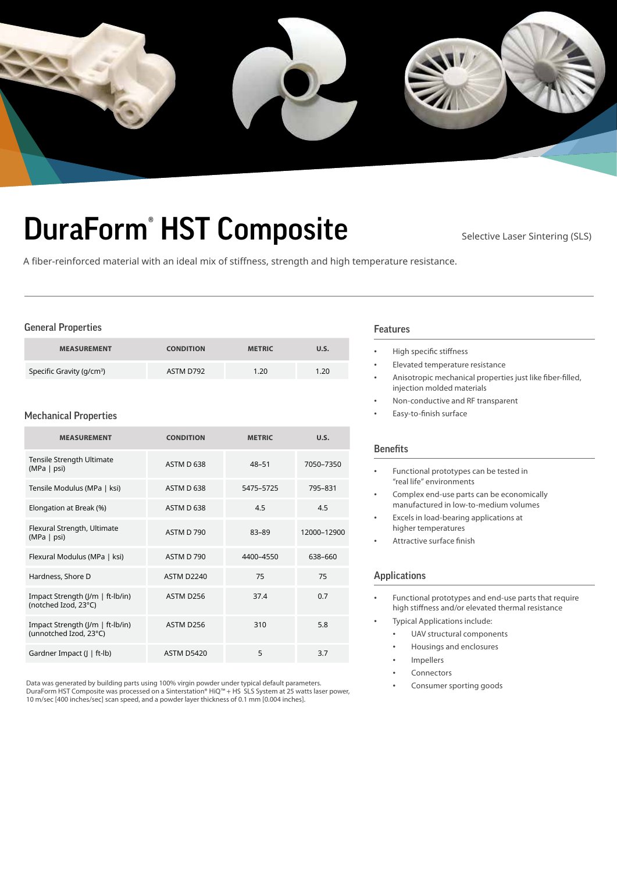

# DuraForm<sup>®</sup> HST Composite Selective Laser Sintering (SLS)

A fiber-reinforced material with an ideal mix of stiffness, strength and high temperature resistance.

## General Properties

| <b>MEASUREMENT</b>                    | <b>CONDITION</b> | <b>METRIC</b> | U.S. |
|---------------------------------------|------------------|---------------|------|
| Specific Gravity (g/cm <sup>3</sup> ) | ASTM D792        | 1.20          | 1.20 |

#### Mechanical Properties

| <b>MEASUREMENT</b>                                         | <b>CONDITION</b>  | <b>METRIC</b> | U.S.        |
|------------------------------------------------------------|-------------------|---------------|-------------|
| Tensile Strength Ultimate<br>(MPa   psi)                   | ASTM D 638        | $48 - 51$     | 7050-7350   |
| Tensile Modulus (MPa   ksi)                                | ASTM D 638        | 5475-5725     | 795-831     |
| Elongation at Break (%)                                    | ASTM D 638        | 4.5           | 4.5         |
| Flexural Strength, Ultimate<br>(MPa   psi)                 | <b>ASTM D 790</b> | 83-89         | 12000-12900 |
| Flexural Modulus (MPa   ksi)                               | ASTM D 790        | 4400-4550     | 638-660     |
| Hardness, Shore D                                          | <b>ASTM D2240</b> | 75            | 75          |
| Impact Strength (J/m   ft-lb/in)<br>(notched Izod, 23°C)   | ASTM D256         | 37.4          | 0.7         |
| Impact Strength (J/m   ft-lb/in)<br>(unnotched Izod, 23°C) | ASTM D256         | 310           | 5.8         |
| Gardner Impact (J   ft-lb)                                 | <b>ASTM D5420</b> | 5             | 3.7         |

Data was generated by building parts using 100% virgin powder under typical default parameters. DuraForm HST Composite was processed on a Sinterstation® HiQ™ + HS SLS System at 25 watts laser power, 10 m/sec [400 inches/sec] scan speed, and a powder layer thickness of 0.1 mm [0.004 inches].

#### Features

- High specific stiffness
- Elevated temperature resistance
- Anisotropic mechanical properties just like fiber-filled, injection molded materials
- Non-conductive and RF transparent
- Easy-to-finish surface

# **Benefits**

- Functional prototypes can be tested in "real life" environments
- Complex end-use parts can be economically manufactured in low-to-medium volumes
- Excels in load-bearing applications at higher temperatures
- Attractive surface finish

# Applications

- Functional prototypes and end-use parts that require high stiffness and/or elevated thermal resistance
- Typical Applications include:
	- UAV structural components
	- Housings and enclosures
	- **Impellers**
	- **Connectors**
	- Consumer sporting goods